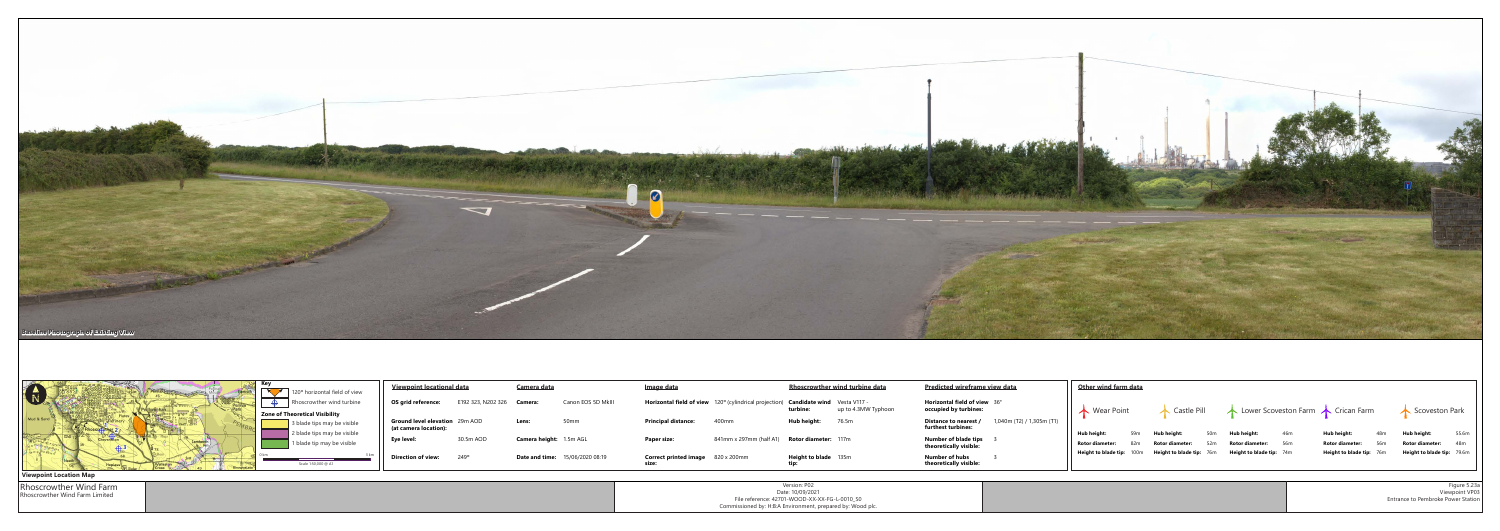



| Version: P02                                               |  |
|------------------------------------------------------------|--|
| Date: 10/09/2021                                           |  |
| File reference: 42701-WOOD-XX-XX-FG-L-0010_S0              |  |
| Commissioned by: H:B:A Environment, prepared by: Wood plc. |  |
|                                                            |  |

Rhoscrowther Wind Farm Rhoscrowther Wind Farm Limited

|                   | Image data                            |                               | <b>Rhoscrowther wind turbine data</b> |                                     | <b>Predicted wireframe view data</b>                         |                           |            | Other wind farm d      |   |  |
|-------------------|---------------------------------------|-------------------------------|---------------------------------------|-------------------------------------|--------------------------------------------------------------|---------------------------|------------|------------------------|---|--|
| inon EOS 5D MkIII | Horizontal field of view              | 120° (cylindrical projection) | <b>Candidate wind</b><br>turbine:     | Vesta V117 -<br>up to 4.3MW Typhoon | <b>Horizontal field of view</b> 36°<br>occupied by turbines: |                           | Wear Point |                        |   |  |
| mm                | <b>Principal distance:</b>            | 400mm                         | Hub height:                           | 76.5m                               | Distance to nearest /<br>furthest turbines:                  | 1,040m (T2) / 1,305m (T1) |            | Hub height:            | 5 |  |
| $5m$ AGL          | Paper size:                           | 841mm x 297mm (half A1)       | <b>Rotor diameter: 117m</b>           |                                     | Number of blade tips<br>theoretically visible:               |                           |            | <b>Rotor diameter:</b> | 8 |  |
| /06/2020 08:19    | <b>Correct printed image</b><br>size: | 820 x 200mm                   | <b>Height to blade</b><br>tip:        | 135m                                | Number of hubs<br>theoretically visible:                     |                           |            | Height to blade tip: 1 |   |  |
|                   |                                       |                               |                                       |                                     |                                                              |                           |            |                        |   |  |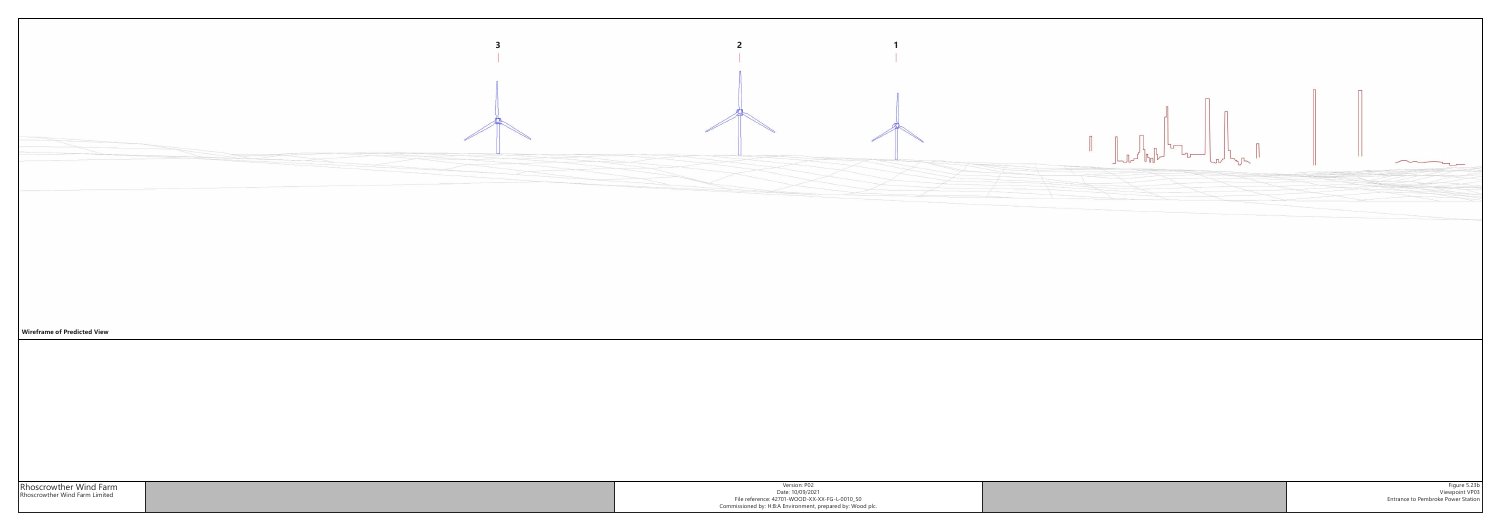

| Version: P02                                               |  |
|------------------------------------------------------------|--|
| Date: 10/09/2021                                           |  |
| File reference: 42701-WOOD-XX-XX-FG-L-0010 S0              |  |
| Commissioned by: H:B:A Environment, prepared by: Wood plc. |  |